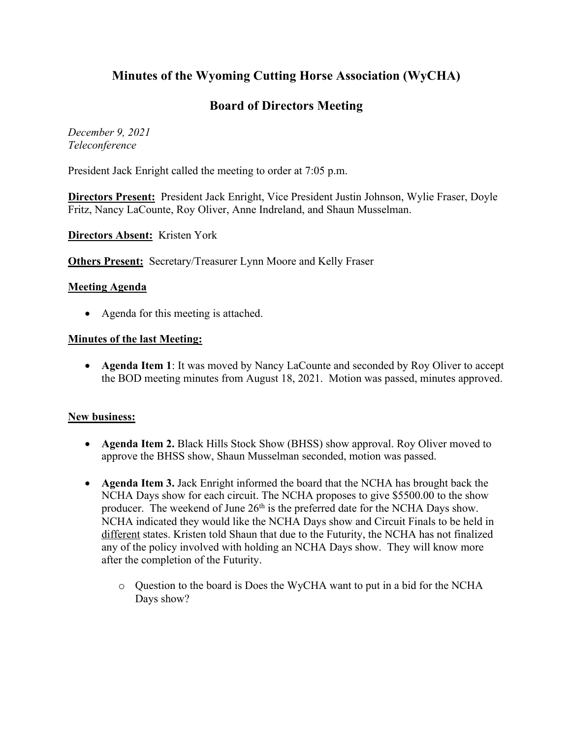# **Minutes of the Wyoming Cutting Horse Association (WyCHA)**

# **Board of Directors Meeting**

*December 9, 2021 Teleconference*

President Jack Enright called the meeting to order at 7:05 p.m.

**Directors Present:** President Jack Enright, Vice President Justin Johnson, Wylie Fraser, Doyle Fritz, Nancy LaCounte, Roy Oliver, Anne Indreland, and Shaun Musselman.

**Directors Absent:** Kristen York

**Others Present:** Secretary/Treasurer Lynn Moore and Kelly Fraser

### **Meeting Agenda**

• Agenda for this meeting is attached.

#### **Minutes of the last Meeting:**

• **Agenda Item 1**: It was moved by Nancy LaCounte and seconded by Roy Oliver to accept the BOD meeting minutes from August 18, 2021. Motion was passed, minutes approved.

#### **New business:**

- **Agenda Item 2.** Black Hills Stock Show (BHSS) show approval. Roy Oliver moved to approve the BHSS show, Shaun Musselman seconded, motion was passed.
- **Agenda Item 3.** Jack Enright informed the board that the NCHA has brought back the NCHA Days show for each circuit. The NCHA proposes to give \$5500.00 to the show producer. The weekend of June 26<sup>th</sup> is the preferred date for the NCHA Days show. NCHA indicated they would like the NCHA Days show and Circuit Finals to be held in different states. Kristen told Shaun that due to the Futurity, the NCHA has not finalized any of the policy involved with holding an NCHA Days show. They will know more after the completion of the Futurity.
	- o Question to the board is Does the WyCHA want to put in a bid for the NCHA Days show?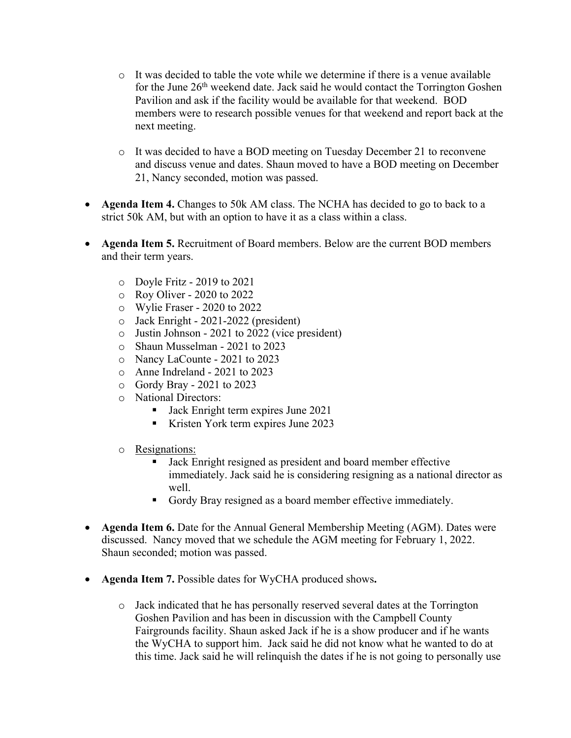- $\circ$  It was decided to table the vote while we determine if there is a venue available for the June 26th weekend date. Jack said he would contact the Torrington Goshen Pavilion and ask if the facility would be available for that weekend. BOD members were to research possible venues for that weekend and report back at the next meeting.
- o It was decided to have a BOD meeting on Tuesday December 21 to reconvene and discuss venue and dates. Shaun moved to have a BOD meeting on December 21, Nancy seconded, motion was passed.
- **Agenda Item 4.** Changes to 50k AM class. The NCHA has decided to go to back to a strict 50k AM, but with an option to have it as a class within a class.
- **Agenda Item 5.** Recruitment of Board members. Below are the current BOD members and their term years.
	- o Doyle Fritz 2019 to 2021
	- o Roy Oliver 2020 to 2022
	- o Wylie Fraser 2020 to 2022
	- o Jack Enright 2021-2022 (president)
	- o Justin Johnson 2021 to 2022 (vice president)
	- o Shaun Musselman 2021 to 2023
	- o Nancy LaCounte 2021 to 2023
	- o Anne Indreland 2021 to 2023
	- o Gordy Bray 2021 to 2023
	- o National Directors:
		- Jack Enright term expires June 2021
		- Kristen York term expires June 2023
	- o Resignations:
		- Jack Enright resigned as president and board member effective immediately. Jack said he is considering resigning as a national director as well.
		- Gordy Bray resigned as a board member effective immediately.
- **Agenda Item 6.** Date for the Annual General Membership Meeting (AGM). Dates were discussed. Nancy moved that we schedule the AGM meeting for February 1, 2022. Shaun seconded; motion was passed.
- **Agenda Item 7.** Possible dates for WyCHA produced shows**.** 
	- o Jack indicated that he has personally reserved several dates at the Torrington Goshen Pavilion and has been in discussion with the Campbell County Fairgrounds facility. Shaun asked Jack if he is a show producer and if he wants the WyCHA to support him. Jack said he did not know what he wanted to do at this time. Jack said he will relinquish the dates if he is not going to personally use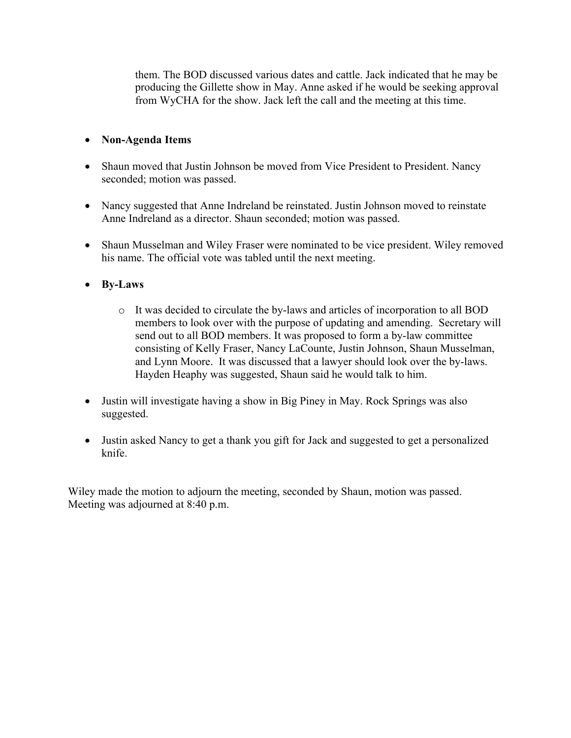them. The BOD discussed various dates and cattle. Jack indicated that he may be producing the Gillette show in May. Anne asked if he would be seeking approval from WyCHA for the show. Jack left the call and the meeting at this time.

## • **Non-Agenda Items**

- Shaun moved that Justin Johnson be moved from Vice President to President. Nancy seconded; motion was passed.
- Nancy suggested that Anne Indreland be reinstated. Justin Johnson moved to reinstate Anne Indreland as a director. Shaun seconded; motion was passed.
- Shaun Musselman and Wiley Fraser were nominated to be vice president. Wiley removed his name. The official vote was tabled until the next meeting.
- **By-Laws**
	- o It was decided to circulate the by-laws and articles of incorporation to all BOD members to look over with the purpose of updating and amending. Secretary will send out to all BOD members. It was proposed to form a by-law committee consisting of Kelly Fraser, Nancy LaCounte, Justin Johnson, Shaun Musselman, and Lynn Moore. It was discussed that a lawyer should look over the by-laws. Hayden Heaphy was suggested, Shaun said he would talk to him.
- Justin will investigate having a show in Big Piney in May. Rock Springs was also suggested.
- Justin asked Nancy to get a thank you gift for Jack and suggested to get a personalized knife.

Wiley made the motion to adjourn the meeting, seconded by Shaun, motion was passed. Meeting was adjourned at 8:40 p.m.